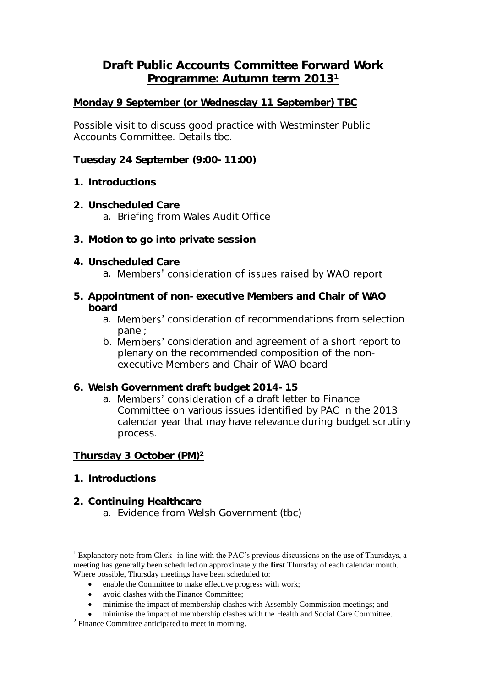## **Draft Public Accounts Committee Forward Work Programme: Autumn term 2013<sup>1</sup>**

### **Monday 9 September** *(or Wednesday 11 September) TBC*

Possible visit to discuss good practice with Westminster Public Accounts Committee. Details tbc.

#### **Tuesday 24 September (9:00-11:00)**

- **1. Introductions**
- **2. Unscheduled Care** a. Briefing from Wales Audit Office
- **3. Motion to go into private session**
- **4. Unscheduled Care** a. Members' consideration of issues raised by WAO report
- **5. Appointment of non-executive Members and Chair of WAO board**
	- a. **Members'** consideration of recommendations from selection panel;
	- b. **Members'** consideration and agreement of a short report to plenary on the recommended composition of the nonexecutive Members and Chair of WAO board
- **6. Welsh Government draft budget 2014-15**
	- a. Members' consideration of a draft letter to Finance Committee on various issues identified by PAC in the 2013 calendar year that may have relevance during budget scrutiny process.

#### **Thursday 3 October (PM)<sup>2</sup>**

**1. Introductions**

<u>.</u>

**2. Continuing Healthcare** a. Evidence from Welsh Government (tbc)

<sup>&</sup>lt;sup>1</sup> Explanatory note from Clerk- in line with the PAC's previous discussions on the use of Thursdays, a meeting has generally been scheduled on approximately the **first** Thursday of each calendar month. Where possible, Thursday meetings have been scheduled to:

enable the Committee to make effective progress with work;

avoid clashes with the Finance Committee;

minimise the impact of membership clashes with Assembly Commission meetings; and

minimise the impact of membership clashes with the Health and Social Care Committee.

<sup>&</sup>lt;sup>2</sup> Finance Committee anticipated to meet in morning.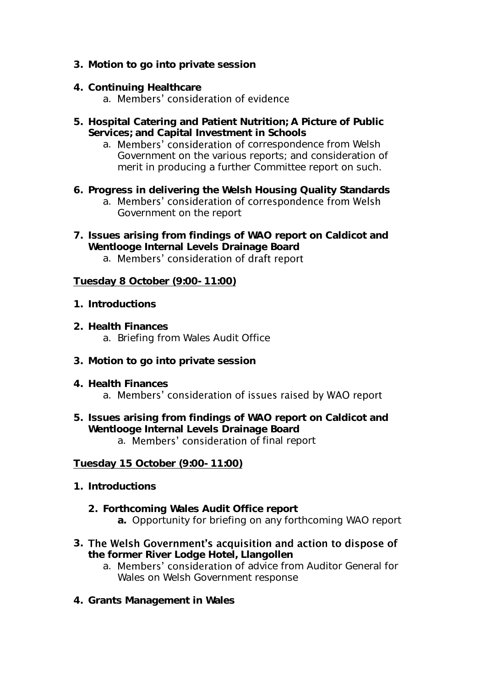- **3. Motion to go into private session**
- **4. Continuing Healthcare**

## a. Members' consideration of evidence

- **5. Hospital Catering and Patient Nutrition; A Picture of Public Services; and Capital Investment in Schools**
	- a. Members' consideration of correspondence from Welsh Government on the various reports; and consideration of merit in producing a further Committee report on such.
- **6. Progress in delivering the Welsh Housing Quality Standards**
	- a. Members' consideration of correspondence from Welsh Government on the report
- **7. Issues arising from findings of WAO report on Caldicot and Wentlooge Internal Levels Drainage Board**
	- a. Members' consideration of draft report

**Tuesday 8 October (9:00-11:00)**

- **1. Introductions**
- **2. Health Finances** a. Briefing from Wales Audit Office
- **3. Motion to go into private session**
- **4. Health Finances** a. Members' consideration of issues raised by WAO report
- **5. Issues arising from findings of WAO report on Caldicot and Wentlooge Internal Levels Drainage Board** a. Members' consideration of final report

## **Tuesday 15 October (9:00-11:00)**

- **1. Introductions**
	- **2. Forthcoming Wales Audit Office report**
		- **a.** Opportunity for briefing on any forthcoming WAO report
- 3. The Welsh Government's acquisition and action to dispose of **the former River Lodge Hotel, Llangollen**
	- a. Members' consideration of advice from Auditor General for Wales on Welsh Government response
- **4. Grants Management in Wales**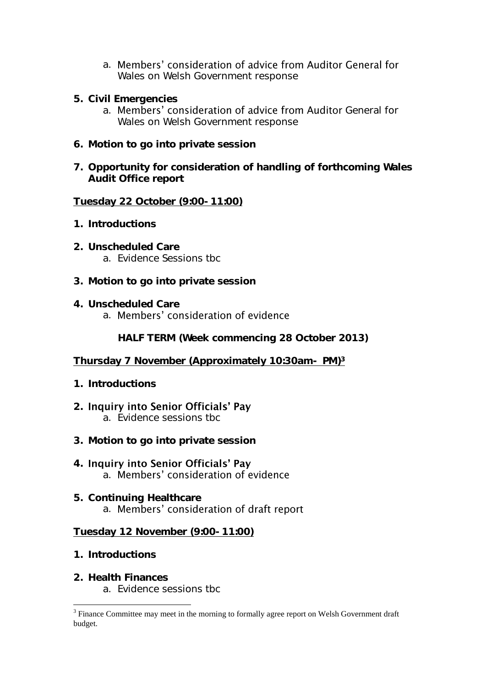- a. Members' consideration of advice from Auditor General for Wales on Welsh Government response
- **5. Civil Emergencies**
	- a. Members' consideration of advice from Auditor General for Wales on Welsh Government response
- **6. Motion to go into private session**
- **7. Opportunity for consideration of handling of forthcoming Wales Audit Office report**

**Tuesday 22 October (9:00-11:00)**

- **1. Introductions**
- **2. Unscheduled Care** a. Evidence Sessions tbc
- **3. Motion to go into private session**
- **4. Unscheduled Care** a. Members' consideration of evidence

**HALF TERM (Week commencing 28 October 2013)**

#### **Thursday 7 November (Approximately 10:30am- PM) 3**

- **1. Introductions**
- 2. Inquiry into Senior Officials' Pay a. Evidence sessions tbc
- **3. Motion to go into private session**
- 4. Inquiry into Senior Officials' Pay a. Members' consideration of evidence
- **5. Continuing Healthcare** a. Members' consideration of draft report

#### **Tuesday 12 November (9:00-11:00)**

**1. Introductions**

1

- **2. Health Finances**
	- a. Evidence sessions tbc

 $3$  Finance Committee may meet in the morning to formally agree report on Welsh Government draft budget.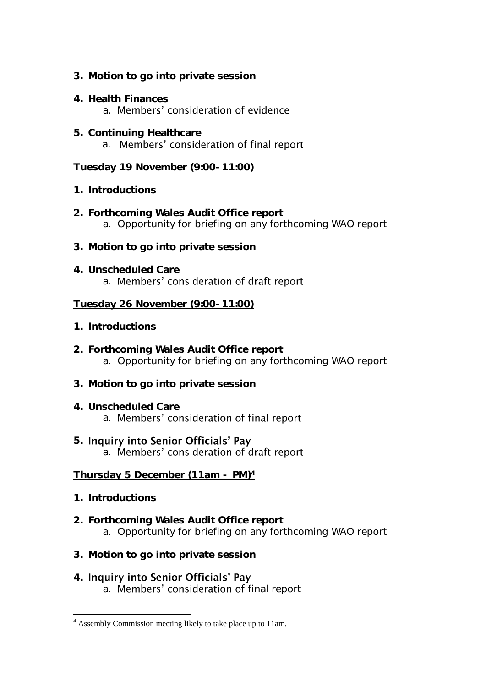- **3. Motion to go into private session**
- **4. Health Finances** a. Members' consideration of evidence
- **5. Continuing Healthcare** a. Members' consideration of final report

**Tuesday 19 November (9:00-11:00)**

- **1. Introductions**
- **2. Forthcoming Wales Audit Office report** a. Opportunity for briefing on any forthcoming WAO report
- **3. Motion to go into private session**
- **4. Unscheduled Care** a. Members' consideration of draft report

## **Tuesday 26 November (9:00-11:00)**

- **1. Introductions**
- **2. Forthcoming Wales Audit Office report** a. Opportunity for briefing on any forthcoming WAO report
- **3. Motion to go into private session**
- **4. Unscheduled Care** a. Members' consideration of final report
- **5. Inquiry into Senior Officials' Pay** a. Members' consideration of draft report

**Thursday 5 December (11am - PM)<sup>4</sup>**

**1. Introductions**

1

- **2. Forthcoming Wales Audit Office report** a. Opportunity for briefing on any forthcoming WAO report
- **3. Motion to go into private session**
- 4. Inquiry into Senior Officials' Pay a. Members' consideration of final report

<sup>4</sup> Assembly Commission meeting likely to take place up to 11am.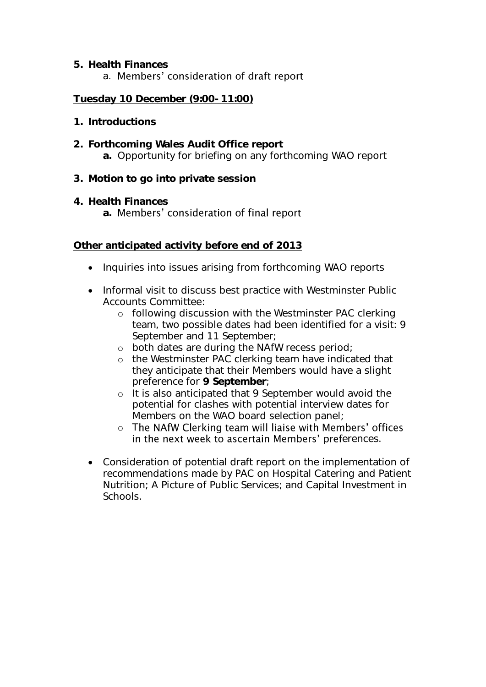## **5. Health Finances** a. Members' consideration of draft report

## **Tuesday 10 December (9:00-11:00)**

- **1. Introductions**
- **2. Forthcoming Wales Audit Office report a.** Opportunity for briefing on any forthcoming WAO report
- **3. Motion to go into private session**
- **4. Health Finances**

# a. Members' consideration of final report

**Other anticipated activity before end of 2013**

- Inquiries into issues arising from forthcoming WAO reports
- Informal visit to discuss best practice with Westminster Public Accounts Committee:
	- o following discussion with the Westminster PAC clerking team, two possible dates had been identified for a visit: 9 September and 11 September;
	- o both dates are during the NAfW recess period;
	- o the Westminster PAC clerking team have indicated that they anticipate that their Members would have a slight preference for **9 September**;
	- o It is also anticipated that 9 September would avoid the potential for clashes with potential interview dates for Members on the WAO board selection panel;
	- o The NAfW Clerking team will liaise with Members' offices in the next week to ascertain Members' preferences.
- Consideration of potential draft report on the implementation of recommendations made by PAC on Hospital Catering and Patient Nutrition; A Picture of Public Services; and Capital Investment in Schools.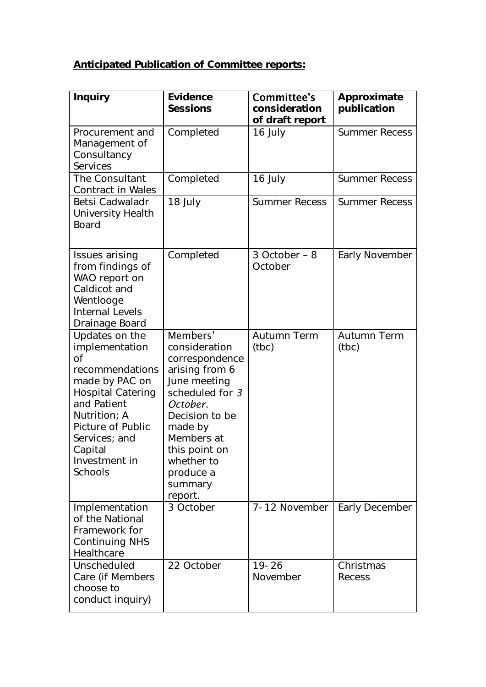# **Anticipated Publication of Committee reports:**

| Inquiry                                                                                                                                                                                                             | Evidence<br>Sessions                                                                                                                                                                                                      | Committee's<br>consideration<br>of draft report | Approximate<br>publication |
|---------------------------------------------------------------------------------------------------------------------------------------------------------------------------------------------------------------------|---------------------------------------------------------------------------------------------------------------------------------------------------------------------------------------------------------------------------|-------------------------------------------------|----------------------------|
| Procurement and<br>Management of<br>Consultancy<br>Services                                                                                                                                                         | Completed                                                                                                                                                                                                                 | 16 July                                         | <b>Summer Recess</b>       |
| The Consultant<br>Contract in Wales                                                                                                                                                                                 | Completed                                                                                                                                                                                                                 | 16 July                                         | <b>Summer Recess</b>       |
| Betsi Cadwaladr<br>University Health<br><b>Board</b>                                                                                                                                                                | 18 July                                                                                                                                                                                                                   | <b>Summer Recess</b>                            | <b>Summer Recess</b>       |
| Issues arising<br>from findings of<br>WAO report on<br>Caldicot and<br>Wentlooge<br>Internal Levels<br>Drainage Board                                                                                               | Completed                                                                                                                                                                                                                 | 3 October - 8<br>October                        | Early November             |
| Updates on the<br>implementation<br>Оf<br>recommendations<br>made by PAC on<br><b>Hospital Catering</b><br>and Patient<br>Nutrition; A<br>Picture of Public<br>Services; and<br>Capital<br>Investment in<br>Schools | Members'<br>consideration<br>correspondence<br>arising from 6<br>June meeting<br>scheduled for 3<br>October.<br>Decision to be<br>made by<br>Members at<br>this point on<br>whether to<br>produce a<br>summary<br>report. | Autumn Term<br>(tbc)                            | Autumn Term<br>(tbc)       |
| Implementation<br>of the National<br>Framework for<br>Continuing NHS<br>Healthcare                                                                                                                                  | 3 October                                                                                                                                                                                                                 | 7-12 November                                   | Early December             |
| Unscheduled<br>Care (if Members<br>choose to<br>conduct inquiry)                                                                                                                                                    | 22 October                                                                                                                                                                                                                | $19 - 26$<br>November                           | Christmas<br>Recess        |